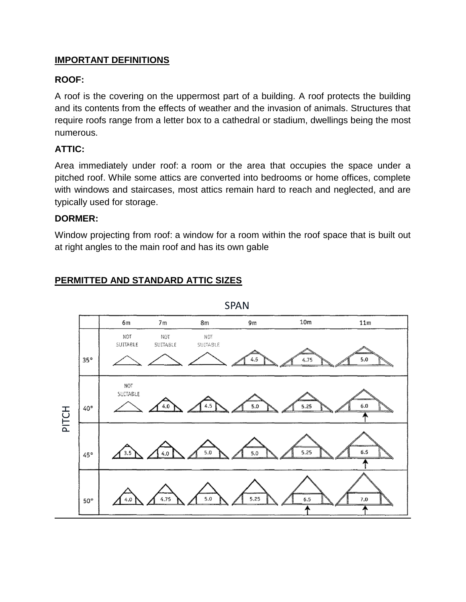# **IMPORTANT DEFINITIONS**

**PERMITTED AND STANDARD ATTIC SIZES** 

# **ROOF:**

A roof is the covering on the uppermost part of a building. A roof protects the building and its contents from the effects of weather and the invasion of animals. Structures that require roofs range from a letter box to a cathedral or stadium, dwellings being the most numerous.

# **ATTIC:**

Area immediately under roof: a room or the area that occupies the space under a pitched roof. While some attics are converted into bedrooms or home offices, complete with windows and staircases, most attics remain hard to reach and neglected, and are typically used for storage.

#### **DORMER:**

Window projecting from roof: a window for a room within the roof space that is built out at right angles to the main roof and has its own gable



**SPAN**